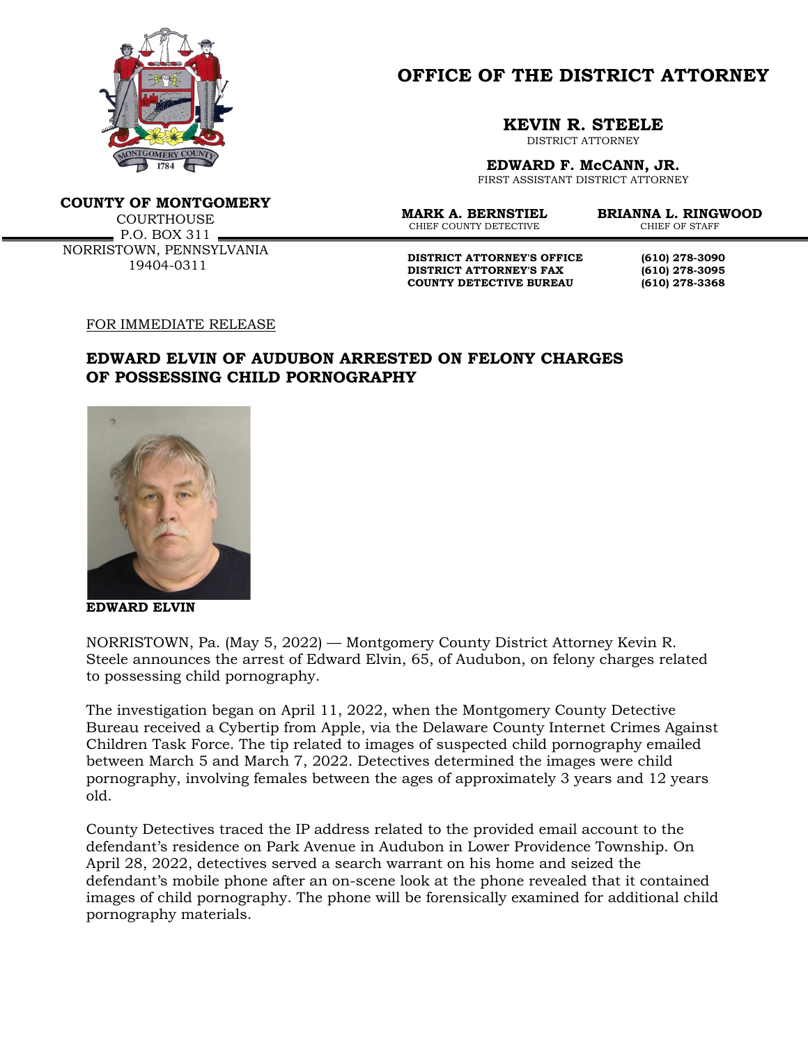

## **OFFICE OF THE DISTRICT ATTORNEY**

## **KEVIN R. STEELE**

DISTRICT ATTORNEY

**EDWARD F. McCANN, JR.**

FIRST ASSISTANT DISTRICT ATTORNEY

**COUNTY OF MONTGOMERY**

**COURTHOUSE** P.O. BOX 311 NORRISTOWN, PENNSYLVANIA 19404-0311

CHIEF COUNTY DETECTIVE

**MARK A. BERNSTIEL BRIANNA L. RINGWOOD**

**DISTRICT ATTORNEY'S OFFICE (610) 278-3090 DISTRICT ATTORNEY'S FAX (610) 278-3095 COUNTY DETECTIVE BUREAU (610) 278-3368**

## FOR IMMEDIATE RELEASE

## **EDWARD ELVIN OF AUDUBON ARRESTED ON FELONY CHARGES OF POSSESSING CHILD PORNOGRAPHY**



**EDWARD ELVIN**

NORRISTOWN, Pa. (May 5, 2022) — Montgomery County District Attorney Kevin R. Steele announces the arrest of Edward Elvin, 65, of Audubon, on felony charges related to possessing child pornography.

The investigation began on April 11, 2022, when the Montgomery County Detective Bureau received a Cybertip from Apple, via the Delaware County Internet Crimes Against Children Task Force. The tip related to images of suspected child pornography emailed between March 5 and March 7, 2022. Detectives determined the images were child pornography, involving females between the ages of approximately 3 years and 12 years old.

County Detectives traced the IP address related to the provided email account to the defendant's residence on Park Avenue in Audubon in Lower Providence Township. On April 28, 2022, detectives served a search warrant on his home and seized the defendant's mobile phone after an on-scene look at the phone revealed that it contained images of child pornography. The phone will be forensically examined for additional child pornography materials.